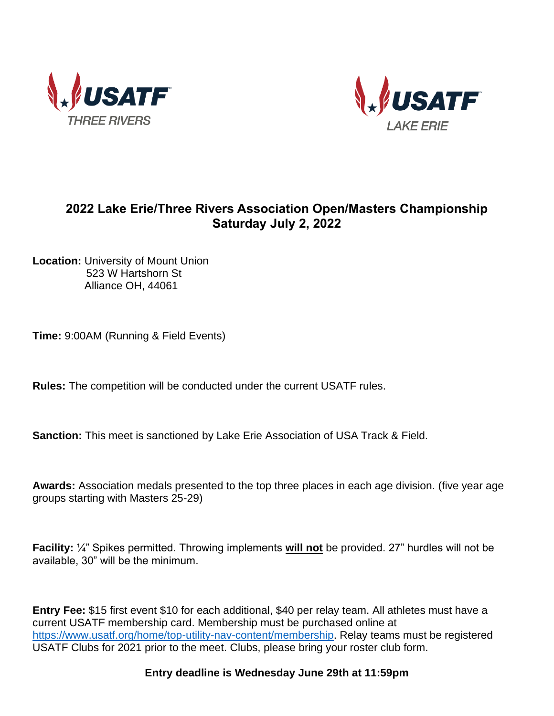



## **2022 Lake Erie/Three Rivers Association Open/Masters Championship Saturday July 2, 2022**

**Location:** University of Mount Union 523 W Hartshorn St Alliance OH, 44061

**Time:** 9:00AM (Running & Field Events)

**Rules:** The competition will be conducted under the current USATF rules.

**Sanction:** This meet is sanctioned by Lake Erie Association of USA Track & Field.

**Awards:** Association medals presented to the top three places in each age division. (five year age groups starting with Masters 25-29)

**Facility:** ¼" Spikes permitted. Throwing implements **will not** be provided. 27" hurdles will not be available, 30" will be the minimum.

**Entry Fee:** \$15 first event \$10 for each additional, \$40 per relay team. All athletes must have a current USATF membership card. Membership must be purchased online at [https://www.usatf.org/home/top-utility-nav-content/membership.](about:blank) Relay teams must be registered USATF Clubs for 2021 prior to the meet. Clubs, please bring your roster club form.

**Entry deadline is Wednesday June 29th at 11:59pm**